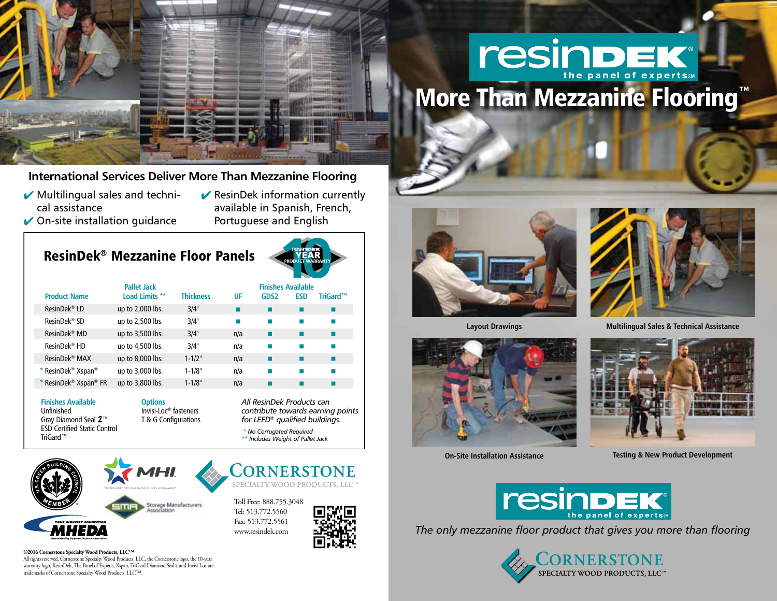

## **International Services Deliver More Than Mezzanine Flooring**

- $\blacktriangleright$  Multilingual sales and technical assistance
- $\triangleright$  On-site installation guidance
- $\blacktriangleright$  ResinDek information currently available in Spanish, French, Portuguese and English

# ResinDek® Mezzanine Floor Panels



|                                               | <b>Pallet Jack</b> |                  |     | <b>Finishes Available</b> |            |            |  |
|-----------------------------------------------|--------------------|------------------|-----|---------------------------|------------|------------|--|
| <b>Product Name</b>                           | Load Limits **     | <b>Thickness</b> | UF  | GDS <sub>2</sub>          | <b>ESD</b> | TriGard™   |  |
| ResinDek <sup>®</sup> LD                      | up to 2,000 lbs.   | 3/4"             |     |                           |            | п          |  |
| ResinDek <sup>®</sup> SD                      | up to 2,500 lbs.   | 3/4"             |     |                           |            | m.         |  |
| ResinDek <sup>®</sup> MD                      | up to 3,500 lbs.   | 3/4"             | n/a |                           |            |            |  |
| ResinDek <sup>®</sup> HD                      | up to 4,500 lbs.   | 3/4"             | n/a |                           |            | <b>COL</b> |  |
| ResinDek <sup>®</sup> MAX                     | up to 8,000 lbs.   | $1 - 1/2$ "      | n/a |                           |            | ■          |  |
| * ResinDek <sup>®</sup> Xspan <sup>®</sup>    | up to 3,000 lbs.   | $1 - 1/8"$       | n/a |                           |            |            |  |
| * ResinDek <sup>®</sup> Xspan <sup>®</sup> FR | up to 3,800 lbs.   | $1 - 1/8"$       | n/a |                           |            |            |  |

#### **Finishes Available** Unfinished Gray Diamond Seal 2™ ESD Certified Static Control TriGard™

#### **Options**

Invisi-Loc® fasteners T & G Configurations *All ResinDek Products can contribute towards earning points for LEED® qualified buildings.*

*\* No Corrugated Required \*\* Includes Weight of Pallet Jack*

**CORNERSTONE** SPECIALTY WOOD PRODUCTS, LLC



Toll Free: 888.755.3048 Tel: 513.772.5560 Fax: 513.772.5561 www.resindek.com









**Layout Drawings Multilingual Sales & Technical Assistance** 



**On-Site Installation Assistance Testing & New Product Development** 



*The only mezzanine floor product that gives you more than flooring*



#### **©2016 Cornerstone Specialty Wood Products, LLC™**

All rights reserved. Cornerstone Specialty Wood Products, LLC, the Cornerstone logo, the 10-year warranty logo, ResinDek, The Panel of Experts, Xspan, TriGard Diamond Seal 2 and Invisi-Loc are trademarks of Cornerstone Specialty Wood Products, LLC™.